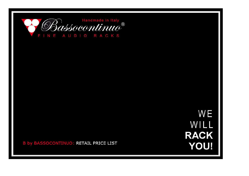

**WE** WILL **RACK YOU!** 

**B by BASSOCONTINUO: RETAIL PRICE LIST**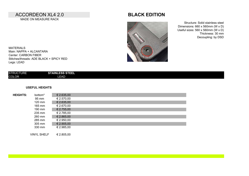### ACCORDEON XL4 2.0 **BLACK EDITION** MADE ON MEASURE RACK



Structure: Solid stainless steel Dimensions: 660 x 560mm (W x D) Useful sizes: 560 x 560mm (W x D) Thickness: 30 mm Decoupling: by DSD

MATERIALS Main: NAPPA + ALCANTARA Center: CARBON FIBER Stitches/threads: ADE BLACK + SPICY RED Legs: LEAD

| STAINLESS STEEL<br><b>STRUCTURE</b> |  |
|-------------------------------------|--|
| <b>COLOR</b><br><b>LEAD</b>         |  |

### **USEFUL HEIGHTS**

| <b>HEIGHTS:</b> | bottom* | € 2.635,00 |
|-----------------|---------|------------|
|                 | 95 mm   | € 2.570,00 |
|                 | 120 mm  | € 2.635,00 |
|                 | 165 mm  | € 2.670,00 |
|                 | 190 mm  | € 2.755,00 |
|                 | 235 mm  | € 2.785,00 |
|                 | 260 mm  | € 2.865,00 |
|                 | 285 mm  | € 2.950,00 |
|                 | 305 mm  | € 2.905,00 |
|                 | 330 mm  | € 2.985,00 |
|                 |         |            |

VINYL SHELF € 2.805,00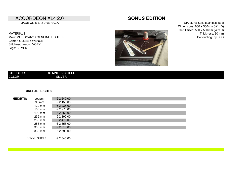### ACCORDEON XL4 2.0 **SONUS EDITION** MADE ON MEASURE RACK

MATERIALS Main: MOHOGANY / GENUINE LEATHER Center: GLOSSY WENGE Stitches/threads: IVORY Legs: SILVER

Structure: Solid stainless steel Dimensions: 660 x 560mm (W x D) Useful sizes: 560 x 560mm (W x D) Thickness: 30 mm Decoupling: by DSD



| <b>COLOR</b><br><b>SILVER</b> |
|-------------------------------|
|                               |

#### **USEFUL HEIGHTS**

| bottom*            | € 2.240,00          |  |  |  |
|--------------------|---------------------|--|--|--|
| 95 mm              | € 2.155,00          |  |  |  |
| 120 mm             | € 2.235,00          |  |  |  |
| 165 mm             | € 2.275,00          |  |  |  |
| 190 mm             | € 2.350,00          |  |  |  |
| 235 mm             | € 2.390,00          |  |  |  |
| 260 mm             | $\epsilon$ 2.470,00 |  |  |  |
| 285 mm             | € 2.555,00          |  |  |  |
| 305 mm             | € 2.510,00          |  |  |  |
| 330 mm             | € 2.590,00          |  |  |  |
|                    |                     |  |  |  |
| <b>VINYL SHELF</b> | € 2.345,00          |  |  |  |
|                    |                     |  |  |  |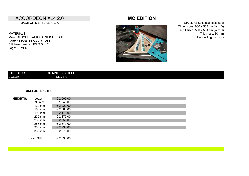### ACCORDEON XL4 2.0 **MC EDITION** MADE ON MEASURE RACK

MATERIALS Main: GLOOM BLACK / GENUINE LEATHER Center: PIANO BLACK / GLASS Stitches/threads: LIGHT BLUE Legs: SILVER



Structure: Solid stainless steel Dimensions: 660 x 560mm (W x D) Useful sizes: 560 x 560mm (W x D) Thickness: 30 mm Decoupling: by DSD

| <b>STRUCTURE</b> | <b>STAINLESS STEEL</b> |
|------------------|------------------------|
| <b>COLOR</b>     | <b>SILVER</b>          |
|                  |                        |

#### **USEFUL HEIGHTS**

| <b>HEIGHTS:</b> | bottom <sup>*</sup> | € 2.005,00          |  |
|-----------------|---------------------|---------------------|--|
|                 | 95 mm               | € 1.940,00          |  |
|                 | $120 \text{ mm}$    | $\epsilon$ 2.020,00 |  |
|                 | 165 mm              | € 2.060,00          |  |
|                 | 190 mm              | $\epsilon$ 2.140,00 |  |
|                 | 235 mm              | € 2.175,00          |  |
|                 | 260 mm              | € 2.255,00          |  |
|                 | 285 mm              | € 2.340,00          |  |
|                 | 305 mm              | € 2.295,00          |  |
|                 | 330 mm              | € 2.370,00          |  |
|                 |                     |                     |  |
|                 | <b>VINYL SHELF</b>  | € 2.030,00          |  |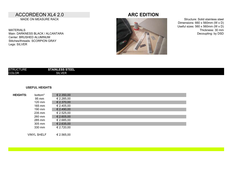## ACCORDEON XL4 2.0 **ARC EDITION**

MADE ON MEASURE RACK

MATERIALS Main: DARKNESS BLACK / ALCANTARA Center: BRUSHED ALUMINUM Stitches/threads: SCORPION GRAY Legs: SILVER



Structure: Solid stainless steel Dimensions: 660 x 560mm (W x D) Useful sizes: 560 x 560mm (W x D) Thickness: 30 mm Decoupling: by DSD

#### **USEFUL HEIGHTS**

| <b>HEIGHTS:</b> | bottom* | € 2.350,00          |
|-----------------|---------|---------------------|
|                 | 95 mm   | € 2.285,00          |
|                 | 120 mm  | € 2.370,00          |
|                 | 165 mm  | € 2.405,00          |
|                 | 190 mm  | $\epsilon$ 2.490,00 |
|                 | 235 mm  | € 2.525,00          |
|                 | 260 mm  | $E$ 2.605,00        |
|                 | 285 mm  | € 2.685,00          |
|                 | 305 mm  | € 2.635,00          |
|                 | 330 mm  | € 2.720,00          |
|                 |         |                     |

VINYL SHELF  $\epsilon$  2.565,00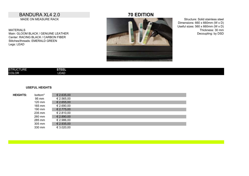# BANDURA XL4 2.0 **70 EDITION**

MADE ON MEASURE RACK

MATERIALS Main: GLOOM BLACK / GENUINE LEATHER Center: RACING BLACK / CARBON FIBER Stitches/threads: EMERALD GREEN Legs: LEAD



Structure: Solid stainless steel Dimensions: 660 x 660mm (W x D) Useful sizes: 560 x 660mm (W x D) Thickness: 30 mm Decoupling: by DSD

| <b>STRU</b><br>ол. | --<br>. <del>.</del> . |  |  |
|--------------------|------------------------|--|--|
| <b>COLOR</b>       | <b>LEAD</b>            |  |  |

#### **USEFUL HEIGHTS**

| <b>HEIGHTS:</b> | bottom <sup>*</sup> | € 2.635,00   |
|-----------------|---------------------|--------------|
|                 | 95 mm               | € 2.565,00   |
|                 | 120 mm              | € 2.655,00   |
|                 | 165 mm              | € 2.690,00   |
|                 | 190 mm              | £ 2.775,00   |
|                 | 235 mm              | € 2.810,00   |
|                 | 260 mm              | $E$ 2.890,00 |
|                 | 285 mm              | € 2.986,00   |
|                 | 305 mm              | € 2.935,00   |
|                 | 330 mm              | € 3.020,00   |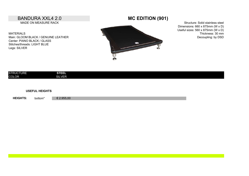### BANDURA XXL4 2.0 **MC EDITION (901)** MADE ON MEASURE RACK

MATERIALS Main: GLOOM BLACK / GENUINE LEATHER Center: PIANO BLACK / GLASS Stitches/threads: LIGHT BLUE Legs: SILVER



Structure: Solid stainless steel Dimensions: 660 x 875mm (W x D) Useful sizes: 560 x 875mm (W x D) Thickness: 30 mm Decoupling: by DSD

| <b>STRUCTURE</b> | <b>STEEL</b>  |
|------------------|---------------|
| <b>COLOR</b>     | <b>SILVER</b> |

#### **USEFUL HEIGHTS**

**HEIGHTS:** € 2.955,00 bottom\*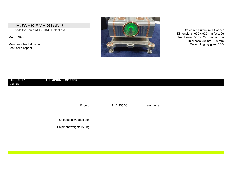# POWER AMP STAND

MATERIALS

Feet: solid copper



Dimensions:  $670 \times 925$  mm (W  $\times$  D) Useful sizes: 500 x 755 mm (W x D) Thickness: 50 mm  $+$  30 mm

### STRUCTURE **ALUMINUM + COPPER** COLOR

Export:  $\epsilon$  12.955,00 each one

Shipped in wooden box

Shipment weight: 160 kg